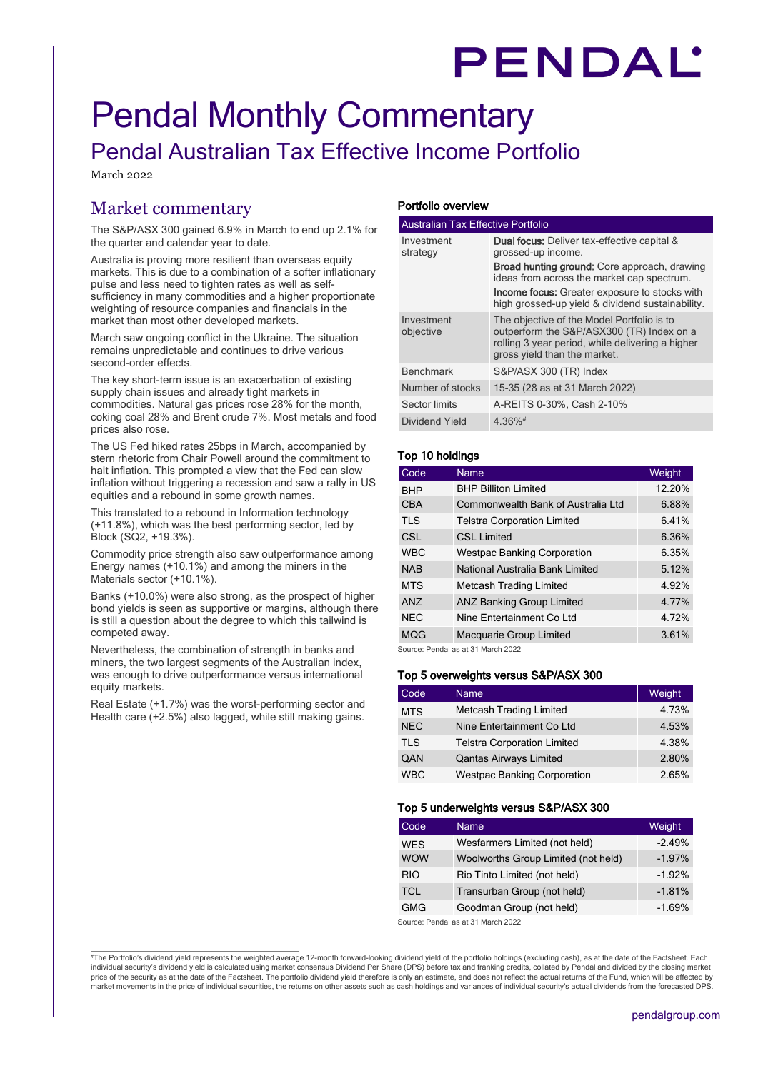# PENDAL'

# Pendal Monthly Commentary Pendal Australian Tax Effective Income Portfolio

March 2022

# Market commentary

The S&P/ASX 300 gained 6.9% in March to end up 2.1% for the quarter and calendar year to date.

Australia is proving more resilient than overseas equity markets. This is due to a combination of a softer inflationary pulse and less need to tighten rates as well as selfsufficiency in many commodities and a higher proportionate weighting of resource companies and financials in the market than most other developed markets.

March saw ongoing conflict in the Ukraine. The situation remains unpredictable and continues to drive various second-order effects.

The key short-term issue is an exacerbation of existing supply chain issues and already tight markets in commodities. Natural gas prices rose 28% for the month, coking coal 28% and Brent crude 7%. Most metals and food prices also rose.

The US Fed hiked rates 25bps in March, accompanied by stern rhetoric from Chair Powell around the commitment to halt inflation. This prompted a view that the Fed can slow inflation without triggering a recession and saw a rally in US equities and a rebound in some growth names.

This translated to a rebound in Information technology (+11.8%), which was the best performing sector, led by Block (SQ2, +19.3%).

Commodity price strength also saw outperformance among Energy names (+10.1%) and among the miners in the Materials sector (+10.1%).

Banks (+10.0%) were also strong, as the prospect of higher bond yields is seen as supportive or margins, although there is still a question about the degree to which this tailwind is competed away.

Nevertheless, the combination of strength in banks and miners, the two largest segments of the Australian index, was enough to drive outperformance versus international equity markets.

Real Estate (+1.7%) was the worst-performing sector and Health care  $(+2.5%)$  also lagged, while still making gains.

## Portfolio overview

|                         | <b>Australian Tax Effective Portfolio</b>                                                                                                                                   |  |  |  |  |  |  |
|-------------------------|-----------------------------------------------------------------------------------------------------------------------------------------------------------------------------|--|--|--|--|--|--|
| Investment<br>strategy  | <b>Dual focus:</b> Deliver tax-effective capital &<br>grossed-up income.                                                                                                    |  |  |  |  |  |  |
|                         | <b>Broad hunting ground:</b> Core approach, drawing<br>ideas from across the market cap spectrum.                                                                           |  |  |  |  |  |  |
|                         | <b>Income focus:</b> Greater exposure to stocks with<br>high grossed-up yield & dividend sustainability.                                                                    |  |  |  |  |  |  |
| Investment<br>objective | The objective of the Model Portfolio is to<br>outperform the S&P/ASX300 (TR) Index on a<br>rolling 3 year period, while delivering a higher<br>gross yield than the market. |  |  |  |  |  |  |
| <b>Benchmark</b>        | S&P/ASX 300 (TR) Index                                                                                                                                                      |  |  |  |  |  |  |
| Number of stocks        | 15-35 (28 as at 31 March 2022)                                                                                                                                              |  |  |  |  |  |  |
| Sector limits           | A-REITS 0-30%, Cash 2-10%                                                                                                                                                   |  |  |  |  |  |  |
| Dividend Yield          | $4.36\%$ <sup>#</sup>                                                                                                                                                       |  |  |  |  |  |  |

# Top 10 holdings

| Code            | Name                               | Weight |
|-----------------|------------------------------------|--------|
| <b>BHP</b>      | <b>BHP Billiton Limited</b>        | 12.20% |
| <b>CBA</b>      | Commonwealth Bank of Australia Ltd | 6.88%  |
| <b>TLS</b>      | <b>Telstra Corporation Limited</b> | 6.41%  |
| CSL.            | <b>CSL Limited</b>                 | 6.36%  |
| <b>WBC</b>      | <b>Westpac Banking Corporation</b> | 6.35%  |
| <b>NAB</b>      | National Australia Bank Limited    | 5.12%  |
| <b>MTS</b>      | <b>Metcash Trading Limited</b>     | 4.92%  |
| AN <sub>7</sub> | <b>ANZ Banking Group Limited</b>   | 4 77%  |
| <b>NEC</b>      | Nine Entertainment Co Ltd          | 4 72%  |
| <b>MQG</b>      | Macquarie Group Limited            | 3.61%  |

Source: Pendal as at 31 March 2022

## Top 5 overweights versus S&P/ASX 300

| Code       | <b>Name</b>                        | Weight |
|------------|------------------------------------|--------|
| <b>MTS</b> | <b>Metcash Trading Limited</b>     | 4.73%  |
| <b>NEC</b> | Nine Entertainment Co Ltd          | 4.53%  |
| <b>TLS</b> | <b>Telstra Corporation Limited</b> | 4.38%  |
| QAN        | <b>Qantas Airways Limited</b>      | 2.80%  |
| <b>WBC</b> | <b>Westpac Banking Corporation</b> | 2.65%  |

#### Top 5 underweights versus S&P/ASX 300

| Code       | Name                                | Weight   |
|------------|-------------------------------------|----------|
| <b>WES</b> | Wesfarmers Limited (not held)       | $-2.49%$ |
| <b>WOW</b> | Woolworths Group Limited (not held) | $-1.97%$ |
| <b>RIO</b> | Rio Tinto Limited (not held)        | $-1.92%$ |
| <b>TCL</b> | Transurban Group (not held)         | $-1.81%$ |
| <b>GMG</b> | Goodman Group (not held)            | $-1.69%$ |

Source: Pendal as at 31 March 2022

#The Portfolio's dividend yield represents the weighted average 12-month forward-looking dividend yield of the portfolio holdings (excluding cash), as at the date of the Factsheet. Each individual security's dividend yield is calculated using market consensus Dividend Per Share (DPS) before tax and franking credits, collated by Pendal and divided by the closing market price of the security as at the date of the Factsheet. The portfolio dividend yield therefore is only an estimate, and does not reflect the actual returns of the Fund, which will be affected by market movements in the price of individual securities, the returns on other assets such as cash holdings and variances of individual security's actual dividends from the forecasted DPS.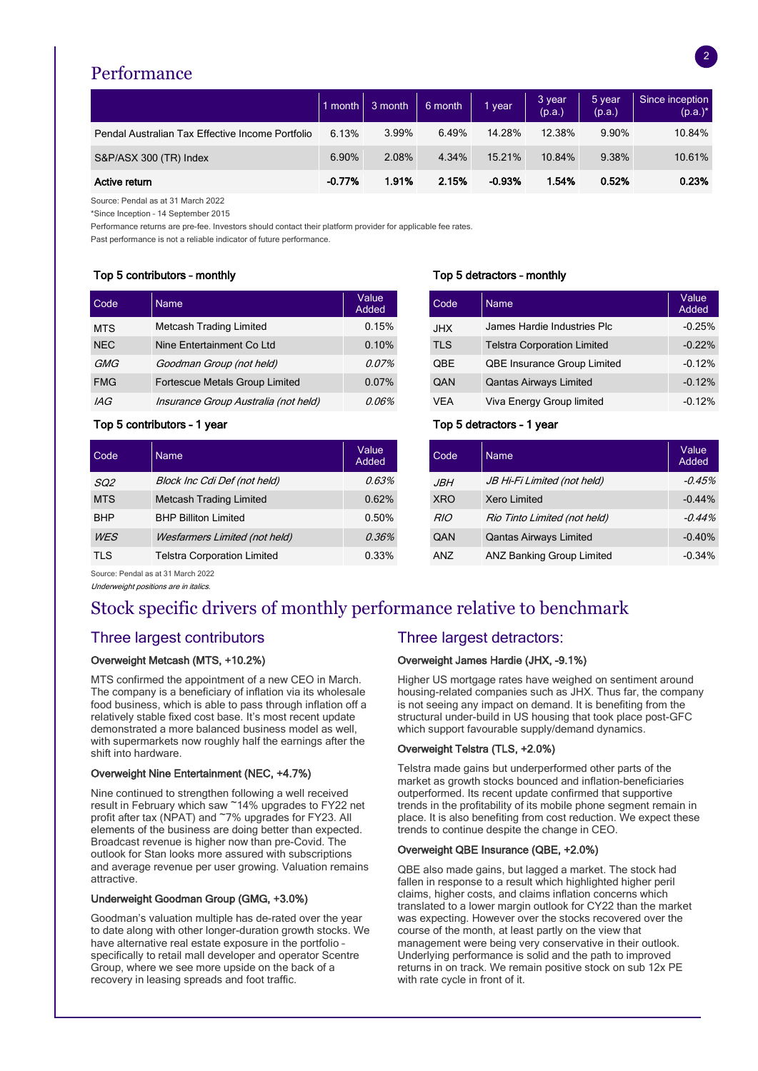# Performance

|                                                  | $1$ month $\vert$ | 3 month | 6 month | vear     | 3 year<br>(p.a.) | 5 year<br>(p.a.) | Since inception<br>$(p.a.)^*$ |
|--------------------------------------------------|-------------------|---------|---------|----------|------------------|------------------|-------------------------------|
| Pendal Australian Tax Effective Income Portfolio | 6.13%             | 3.99%   | 6.49%   | 14.28%   | 12.38%           | 9.90%            | 10.84%                        |
| S&P/ASX 300 (TR) Index                           | 6.90%             | 2.08%   | 4.34%   | 15.21%   | 10.84%           | 9.38%            | 10.61%                        |
| Active return                                    | $-0.77%$          | 1.91%   | 2.15%   | $-0.93%$ | 1.54%            | 0.52%            | 0.23%                         |

Source: Pendal as at 31 March 2022

\*Since Inception – 14 September 2015

Performance returns are pre-fee. Investors should contact their platform provider for applicable fee rates.

Past performance is not a reliable indicator of future performance.

# Top 5 contributors – monthly Top 5 detractors – monthly

| Code       | <b>Name</b>                          | Value<br>Added | Code       | <b>Name</b>                        | Value<br>Added |
|------------|--------------------------------------|----------------|------------|------------------------------------|----------------|
| <b>MTS</b> | <b>Metcash Trading Limited</b>       | 0.15%          | <b>JHX</b> | James Hardie Industries Plc        | $-0.25%$       |
| <b>NEC</b> | Nine Entertainment Co Ltd            | 0.10%          | <b>TLS</b> | <b>Telstra Corporation Limited</b> | $-0.22%$       |
| GMG        | Goodman Group (not held)             | 0.07%          | QBE        | <b>QBE Insurance Group Limited</b> | $-0.12%$       |
| <b>FMG</b> | Fortescue Metals Group Limited       | $0.07\%$       | QAN        | <b>Qantas Airways Limited</b>      | $-0.12%$       |
| IAG        | Insurance Group Australia (not held) | 0.06%          | <b>VEA</b> | Viva Energy Group limited          | $-0.12%$       |

# Top 5 contributors - 1 year Top 5 detractors - 1 year

| Code       | <b>Name</b>                          | Value<br>Added | Code            | <b>Name</b>                   | Value<br>Added |
|------------|--------------------------------------|----------------|-----------------|-------------------------------|----------------|
| SQ2        | Block Inc Cdi Def (not held)         | 0.63%          | <b>JBH</b>      | JB Hi-Fi Limited (not held)   | $-0.45%$       |
| <b>MTS</b> | <b>Metcash Trading Limited</b>       | 0.62%          | <b>XRO</b>      | Xero Limited                  | $-0.44%$       |
| <b>BHP</b> | <b>BHP Billiton Limited</b>          | 0.50%          | <b>RIO</b>      | Rio Tinto Limited (not held)  | $-0.44%$       |
| <b>WES</b> | <b>Wesfarmers Limited (not held)</b> | 0.36%          | QAN             | <b>Qantas Airways Limited</b> | $-0.40%$       |
| TI S       | Teletra Cornoration Limited          | $0.33\%$       | $\triangle$ NJ7 | ANZ Ranking Group Limited     | $-0.34\%$      |

| Value<br>Added |            | Code | <b>Name</b>                        | Value<br>Added |
|----------------|------------|------|------------------------------------|----------------|
| 0.15%          | <b>JHX</b> |      | James Hardie Industries Plc        | $-0.25%$       |
| 0.10%          | <b>TLS</b> |      | <b>Telstra Corporation Limited</b> | $-0.22%$       |
| $0.07\%$       |            | QBE  | <b>QBE Insurance Group Limited</b> | $-0.12%$       |
| 0.07%          |            | QAN  | <b>Qantas Airways Limited</b>      | $-0.12%$       |
| 0.06%          |            | VEA  | Viva Energy Group limited          | $-0.12%$       |

| Code       | Name                                 | Value<br>Added | Code       | <b>Name</b>                      | Value<br>Added |
|------------|--------------------------------------|----------------|------------|----------------------------------|----------------|
| SQ2        | Block Inc Cdi Def (not held)         | 0.63%          | <b>JBH</b> | JB Hi-Fi Limited (not held)      | $-0.45%$       |
| <b>MTS</b> | <b>Metcash Trading Limited</b>       | 0.62%          | <b>XRO</b> | Xero Limited                     | $-0.44%$       |
| <b>BHP</b> | <b>BHP Billiton Limited</b>          | 0.50%          | <b>RIO</b> | Rio Tinto Limited (not held)     | $-0.44%$       |
| <b>WES</b> | <b>Wesfarmers Limited (not held)</b> | 0.36%          | QAN        | <b>Qantas Airways Limited</b>    | $-0.40%$       |
| TLS        | <b>Telstra Corporation Limited</b>   | 0.33%          | <b>ANZ</b> | <b>ANZ Banking Group Limited</b> | $-0.34%$       |

Source: Pendal as at 31 March 2022

Underweight positions are in italics.

# Stock specific drivers of monthly performance relative to benchmark

# Three largest contributors Three largest detractors:

# Overweight Metcash (MTS, +10.2%)

MTS confirmed the appointment of a new CEO in March. The company is a beneficiary of inflation via its wholesale food business, which is able to pass through inflation off a relatively stable fixed cost base. It's most recent update demonstrated a more balanced business model as well, with supermarkets now roughly half the earnings after the shift into hardware.

## Overweight Nine Entertainment (NEC, +4.7%)

Nine continued to strengthen following a well received result in February which saw ~14% upgrades to FY22 net profit after tax (NPAT) and ~7% upgrades for FY23. All elements of the business are doing better than expected. Broadcast revenue is higher now than pre-Covid. The outlook for Stan looks more assured with subscriptions and average revenue per user growing. Valuation remains attractive.

## Underweight Goodman Group (GMG, +3.0%)

Goodman's valuation multiple has de-rated over the year to date along with other longer-duration growth stocks. We have alternative real estate exposure in the portfolio – specifically to retail mall developer and operator Scentre Group, where we see more upside on the back of a recovery in leasing spreads and foot traffic.

# Overweight James Hardie (JHX, -9.1%)

Higher US mortgage rates have weighed on sentiment around housing-related companies such as JHX. Thus far, the company is not seeing any impact on demand. It is benefiting from the structural under-build in US housing that took place post-GFC which support favourable supply/demand dynamics.

## Overweight Telstra (TLS, +2.0%)

Telstra made gains but underperformed other parts of the market as growth stocks bounced and inflation-beneficiaries outperformed. Its recent update confirmed that supportive trends in the profitability of its mobile phone segment remain in place. It is also benefiting from cost reduction. We expect these trends to continue despite the change in CEO.

#### Overweight QBE Insurance (QBE, +2.0%)

QBE also made gains, but lagged a market. The stock had fallen in response to a result which highlighted higher peril claims, higher costs, and claims inflation concerns which translated to a lower margin outlook for CY22 than the market was expecting. However over the stocks recovered over the course of the month, at least partly on the view that management were being very conservative in their outlook. Underlying performance is solid and the path to improved returns in on track. We remain positive stock on sub 12x PE with rate cycle in front of it.

2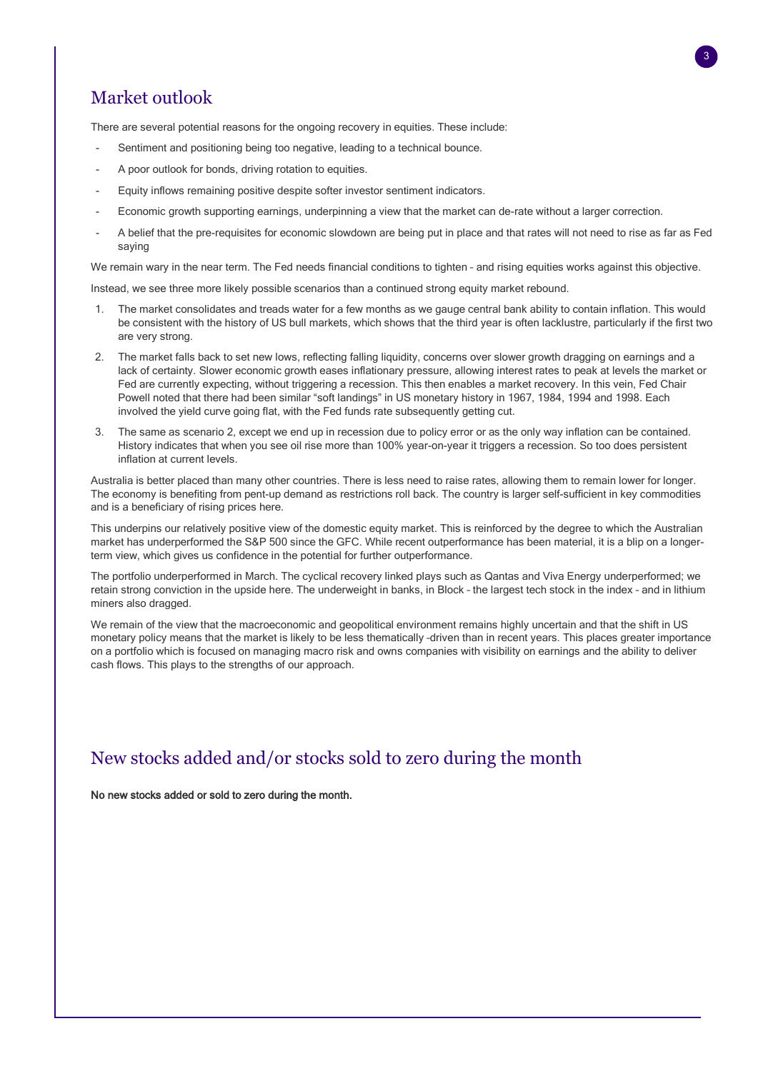# Market outlook

There are several potential reasons for the ongoing recovery in equities. These include:

- Sentiment and positioning being too negative, leading to a technical bounce.
- A poor outlook for bonds, driving rotation to equities.
- Equity inflows remaining positive despite softer investor sentiment indicators.
- Economic growth supporting earnings, underpinning a view that the market can de-rate without a larger correction.
- A belief that the pre-requisites for economic slowdown are being put in place and that rates will not need to rise as far as Fed saying

We remain wary in the near term. The Fed needs financial conditions to tighten – and rising equities works against this objective.

Instead, we see three more likely possible scenarios than a continued strong equity market rebound.

- 1. The market consolidates and treads water for a few months as we gauge central bank ability to contain inflation. This would be consistent with the history of US bull markets, which shows that the third year is often lacklustre, particularly if the first two are very strong.
- 2. The market falls back to set new lows, reflecting falling liquidity, concerns over slower growth dragging on earnings and a lack of certainty. Slower economic growth eases inflationary pressure, allowing interest rates to peak at levels the market or Fed are currently expecting, without triggering a recession. This then enables a market recovery. In this vein, Fed Chair Powell noted that there had been similar "soft landings" in US monetary history in 1967, 1984, 1994 and 1998. Each involved the yield curve going flat, with the Fed funds rate subsequently getting cut.
- The same as scenario 2, except we end up in recession due to policy error or as the only way inflation can be contained. History indicates that when you see oil rise more than 100% year-on-year it triggers a recession. So too does persistent inflation at current levels.

Australia is better placed than many other countries. There is less need to raise rates, allowing them to remain lower for longer. The economy is benefiting from pent-up demand as restrictions roll back. The country is larger self-sufficient in key commodities and is a beneficiary of rising prices here.

This underpins our relatively positive view of the domestic equity market. This is reinforced by the degree to which the Australian market has underperformed the S&P 500 since the GFC. While recent outperformance has been material, it is a blip on a longerterm view, which gives us confidence in the potential for further outperformance.

The portfolio underperformed in March. The cyclical recovery linked plays such as Qantas and Viva Energy underperformed; we retain strong conviction in the upside here. The underweight in banks, in Block – the largest tech stock in the index – and in lithium miners also dragged.

We remain of the view that the macroeconomic and geopolitical environment remains highly uncertain and that the shift in US monetary policy means that the market is likely to be less thematically –driven than in recent years. This places greater importance on a portfolio which is focused on managing macro risk and owns companies with visibility on earnings and the ability to deliver cash flows. This plays to the strengths of our approach.

# New stocks added and/or stocks sold to zero during the month

No new stocks added or sold to zero during the month.

3